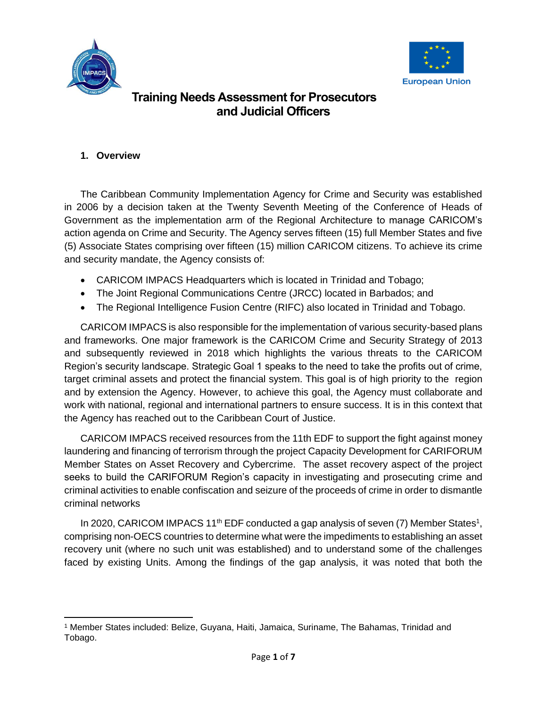



#### **1. Overview**

The Caribbean Community Implementation Agency for Crime and Security was established in 2006 by a decision taken at the Twenty Seventh Meeting of the Conference of Heads of Government as the implementation arm of the Regional Architecture to manage CARICOM's action agenda on Crime and Security. The Agency serves fifteen (15) full Member States and five (5) Associate States comprising over fifteen (15) million CARICOM citizens. To achieve its crime and security mandate, the Agency consists of:

- CARICOM IMPACS Headquarters which is located in Trinidad and Tobago;
- The Joint Regional Communications Centre (JRCC) located in Barbados; and
- The Regional Intelligence Fusion Centre (RIFC) also located in Trinidad and Tobago.

CARICOM IMPACS is also responsible for the implementation of various security-based plans and frameworks. One major framework is the CARICOM Crime and Security Strategy of 2013 and subsequently reviewed in 2018 which highlights the various threats to the CARICOM Region's security landscape. Strategic Goal 1 speaks to the need to take the profits out of crime, target criminal assets and protect the financial system. This goal is of high priority to the region and by extension the Agency. However, to achieve this goal, the Agency must collaborate and work with national, regional and international partners to ensure success. It is in this context that the Agency has reached out to the Caribbean Court of Justice.

CARICOM IMPACS received resources from the 11th EDF to support the fight against money laundering and financing of terrorism through the project Capacity Development for CARIFORUM Member States on Asset Recovery and Cybercrime. The asset recovery aspect of the project seeks to build the CARIFORUM Region's capacity in investigating and prosecuting crime and criminal activities to enable confiscation and seizure of the proceeds of crime in order to dismantle criminal networks

In 2020, CARICOM IMPACS 11<sup>th</sup> EDF conducted a gap analysis of seven (7) Member States<sup>1</sup>, comprising non-OECS countries to determine what were the impediments to establishing an asset recovery unit (where no such unit was established) and to understand some of the challenges faced by existing Units. Among the findings of the gap analysis, it was noted that both the

<sup>1</sup> Member States included: Belize, Guyana, Haiti, Jamaica, Suriname, The Bahamas, Trinidad and Tobago.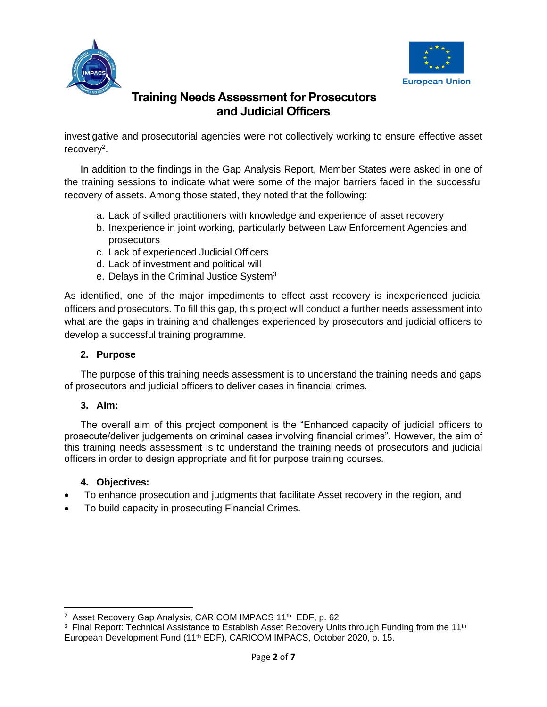



investigative and prosecutorial agencies were not collectively working to ensure effective asset recovery<sup>2</sup>.

In addition to the findings in the Gap Analysis Report, Member States were asked in one of the training sessions to indicate what were some of the major barriers faced in the successful recovery of assets. Among those stated, they noted that the following:

- a. Lack of skilled practitioners with knowledge and experience of asset recovery
- b. Inexperience in joint working, particularly between Law Enforcement Agencies and prosecutors
- c. Lack of experienced Judicial Officers
- d. Lack of investment and political will
- e. Delays in the Criminal Justice System<sup>3</sup>

As identified, one of the major impediments to effect asst recovery is inexperienced judicial officers and prosecutors. To fill this gap, this project will conduct a further needs assessment into what are the gaps in training and challenges experienced by prosecutors and judicial officers to develop a successful training programme.

#### **2. Purpose**

The purpose of this training needs assessment is to understand the training needs and gaps of prosecutors and judicial officers to deliver cases in financial crimes.

#### **3. Aim:**

The overall aim of this project component is the "Enhanced capacity of judicial officers to prosecute/deliver judgements on criminal cases involving financial crimes". However, the aim of this training needs assessment is to understand the training needs of prosecutors and judicial officers in order to design appropriate and fit for purpose training courses.

#### **4. Objectives:**

- To enhance prosecution and judgments that facilitate Asset recovery in the region, and
- To build capacity in prosecuting Financial Crimes.

<sup>&</sup>lt;sup>2</sup> Asset Recovery Gap Analysis, CARICOM IMPACS 11<sup>th</sup> EDF, p. 62

<sup>&</sup>lt;sup>3</sup> Final Report: Technical Assistance to Establish Asset Recovery Units through Funding from the 11<sup>th</sup> European Development Fund (11<sup>th</sup> EDF), CARICOM IMPACS, October 2020, p. 15.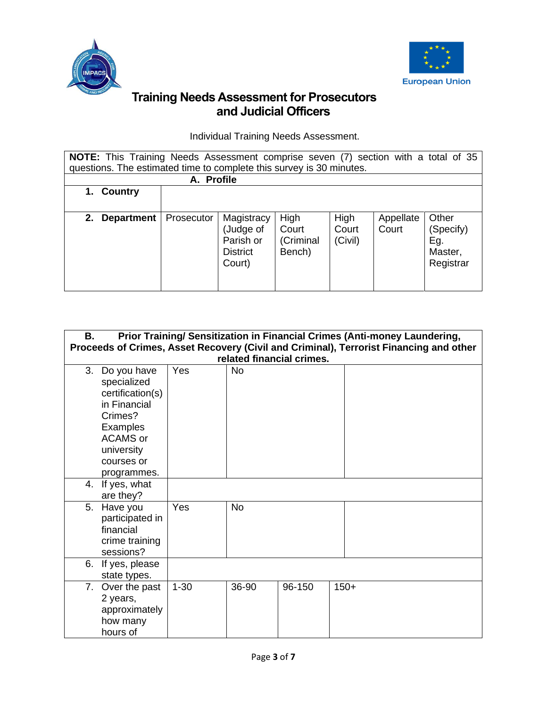



Individual Training Needs Assessment.

| NOTE: This Training Needs Assessment comprise seven (7) section with a total of 35<br>questions. The estimated time to complete this survey is 30 minutes. |            |                                                                   |                                      |                          |                    |                                                   |
|------------------------------------------------------------------------------------------------------------------------------------------------------------|------------|-------------------------------------------------------------------|--------------------------------------|--------------------------|--------------------|---------------------------------------------------|
|                                                                                                                                                            | A. Profile |                                                                   |                                      |                          |                    |                                                   |
| Country<br>1.                                                                                                                                              |            |                                                                   |                                      |                          |                    |                                                   |
|                                                                                                                                                            |            |                                                                   |                                      |                          |                    |                                                   |
| 2.<br><b>Department</b>                                                                                                                                    | Prosecutor | Magistracy<br>(Judge of<br>Parish or<br><b>District</b><br>Court) | High<br>Court<br>(Criminal<br>Bench) | High<br>Court<br>(Civil) | Appellate<br>Court | Other<br>(Specify)<br>Eg.<br>Master,<br>Registrar |

| В. | Prior Training/ Sensitization in Financial Crimes (Anti-money Laundering,<br>Proceeds of Crimes, Asset Recovery (Civil and Criminal), Terrorist Financing and other |          |           |                           |        |  |
|----|---------------------------------------------------------------------------------------------------------------------------------------------------------------------|----------|-----------|---------------------------|--------|--|
|    |                                                                                                                                                                     |          |           | related financial crimes. |        |  |
| 3. | Do you have<br>specialized<br>certification(s)<br>in Financial<br>Crimes?<br>Examples<br><b>ACAMS</b> or<br>university<br>courses or<br>programmes.                 | Yes      | <b>No</b> |                           |        |  |
| 4. | If yes, what<br>are they?                                                                                                                                           |          |           |                           |        |  |
| 5. | Have you<br>participated in<br>financial<br>crime training<br>sessions?                                                                                             | Yes      | <b>No</b> |                           |        |  |
| 6. | If yes, please<br>state types.                                                                                                                                      |          |           |                           |        |  |
| 7. | Over the past<br>2 years,<br>approximately<br>how many<br>hours of                                                                                                  | $1 - 30$ | 36-90     | 96-150                    | $150+$ |  |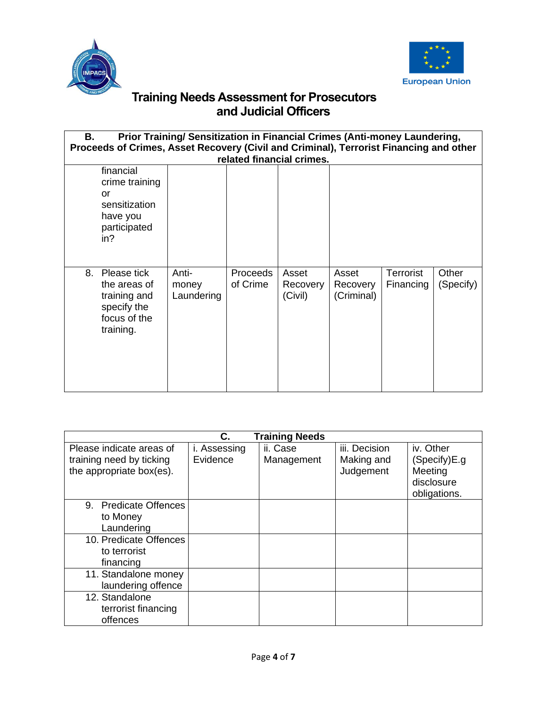



| Prior Training/ Sensitization in Financial Crimes (Anti-money Laundering,<br>В.               |                              |                             |                              |                                 |                        |                    |
|-----------------------------------------------------------------------------------------------|------------------------------|-----------------------------|------------------------------|---------------------------------|------------------------|--------------------|
| Proceeds of Crimes, Asset Recovery (Civil and Criminal), Terrorist Financing and other        |                              |                             |                              |                                 |                        |                    |
|                                                                                               |                              | related financial crimes.   |                              |                                 |                        |                    |
| financial<br>crime training<br>or<br>sensitization<br>have you<br>participated<br>in?         |                              |                             |                              |                                 |                        |                    |
| 8.<br>Please tick<br>the areas of<br>training and<br>specify the<br>focus of the<br>training. | Anti-<br>money<br>Laundering | <b>Proceeds</b><br>of Crime | Asset<br>Recovery<br>(Civil) | Asset<br>Recovery<br>(Criminal) | Terrorist<br>Financing | Other<br>(Specify) |

| С.<br><b>Training Needs</b>                          |              |            |                         |                                                       |  |
|------------------------------------------------------|--------------|------------|-------------------------|-------------------------------------------------------|--|
| Please indicate areas of                             | i. Assessing | ii. Case   | iii. Decision           | iv. Other                                             |  |
| training need by ticking<br>the appropriate box(es). | Evidence     | Management | Making and<br>Judgement | (Specify)E.g<br>Meeting<br>disclosure<br>obligations. |  |
| 9. Predicate Offences                                |              |            |                         |                                                       |  |
| to Money                                             |              |            |                         |                                                       |  |
| Laundering                                           |              |            |                         |                                                       |  |
| 10. Predicate Offences                               |              |            |                         |                                                       |  |
| to terrorist                                         |              |            |                         |                                                       |  |
| financing                                            |              |            |                         |                                                       |  |
| 11. Standalone money                                 |              |            |                         |                                                       |  |
| laundering offence                                   |              |            |                         |                                                       |  |
| 12. Standalone                                       |              |            |                         |                                                       |  |
| terrorist financing                                  |              |            |                         |                                                       |  |
| offences                                             |              |            |                         |                                                       |  |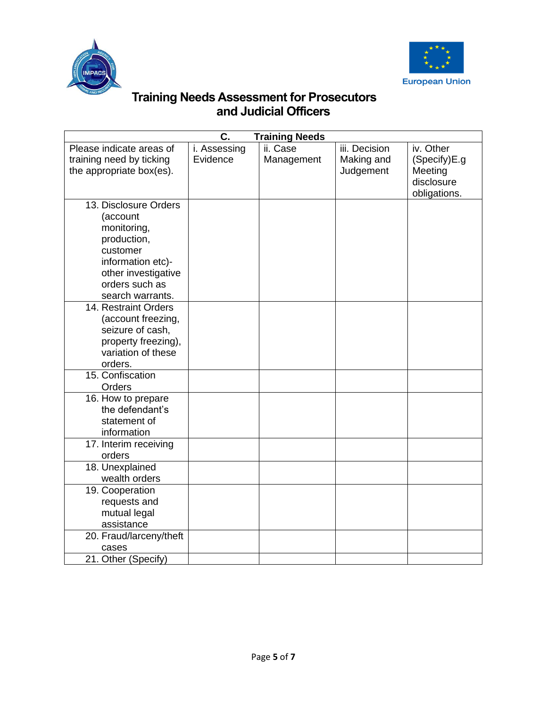



| C.<br><b>Training Needs</b>                                                                                                                                   |                          |                        |                                          |                                                                    |  |
|---------------------------------------------------------------------------------------------------------------------------------------------------------------|--------------------------|------------------------|------------------------------------------|--------------------------------------------------------------------|--|
| Please indicate areas of<br>training need by ticking<br>the appropriate box(es).                                                                              | i. Assessing<br>Evidence | ii. Case<br>Management | iii. Decision<br>Making and<br>Judgement | iv. Other<br>(Specify)E.g<br>Meeting<br>disclosure<br>obligations. |  |
| 13. Disclosure Orders<br>(account<br>monitoring,<br>production,<br>customer<br>information etc)-<br>other investigative<br>orders such as<br>search warrants. |                          |                        |                                          |                                                                    |  |
| 14. Restraint Orders<br>(account freezing,<br>seizure of cash,<br>property freezing),<br>variation of these<br>orders.                                        |                          |                        |                                          |                                                                    |  |
| 15. Confiscation<br>Orders                                                                                                                                    |                          |                        |                                          |                                                                    |  |
| 16. How to prepare<br>the defendant's<br>statement of<br>information                                                                                          |                          |                        |                                          |                                                                    |  |
| $\overline{17}$ . Interim receiving<br>orders                                                                                                                 |                          |                        |                                          |                                                                    |  |
| 18. Unexplained<br>wealth orders                                                                                                                              |                          |                        |                                          |                                                                    |  |
| 19. Cooperation<br>requests and<br>mutual legal<br>assistance                                                                                                 |                          |                        |                                          |                                                                    |  |
| 20. Fraud/larceny/theft<br>cases<br>21. Other (Specify)                                                                                                       |                          |                        |                                          |                                                                    |  |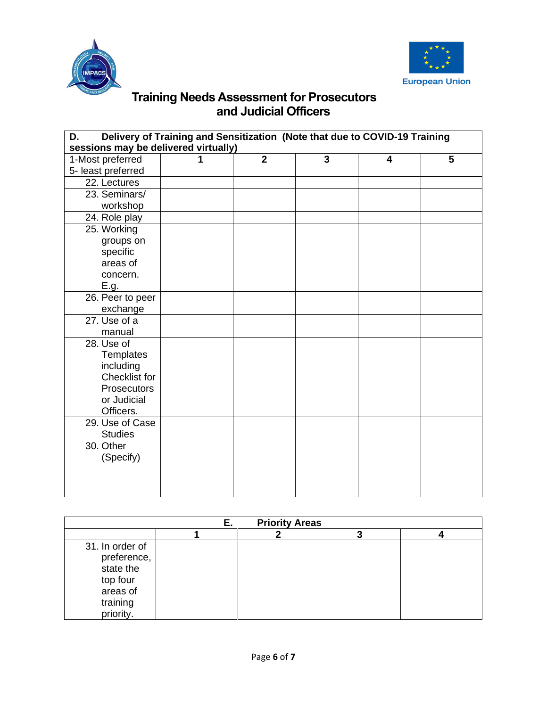



| Delivery of Training and Sensitization (Note that due to COVID-19 Training<br>D. |  |                |   |   |   |
|----------------------------------------------------------------------------------|--|----------------|---|---|---|
| sessions may be delivered virtually)                                             |  |                |   |   |   |
| 1-Most preferred                                                                 |  | $\overline{2}$ | 3 | 4 | 5 |
| 5- least preferred                                                               |  |                |   |   |   |
| 22. Lectures                                                                     |  |                |   |   |   |
| 23. Seminars/                                                                    |  |                |   |   |   |
| workshop                                                                         |  |                |   |   |   |
| 24. Role play                                                                    |  |                |   |   |   |
| 25. Working                                                                      |  |                |   |   |   |
| groups on                                                                        |  |                |   |   |   |
| specific                                                                         |  |                |   |   |   |
| areas of                                                                         |  |                |   |   |   |
| concern.                                                                         |  |                |   |   |   |
| E.g.                                                                             |  |                |   |   |   |
| 26. Peer to peer                                                                 |  |                |   |   |   |
| exchange                                                                         |  |                |   |   |   |
| 27. Use of a                                                                     |  |                |   |   |   |
| manual                                                                           |  |                |   |   |   |
| 28. Use of                                                                       |  |                |   |   |   |
| Templates                                                                        |  |                |   |   |   |
| including                                                                        |  |                |   |   |   |
| <b>Checklist for</b>                                                             |  |                |   |   |   |
| <b>Prosecutors</b>                                                               |  |                |   |   |   |
| or Judicial                                                                      |  |                |   |   |   |
| Officers.                                                                        |  |                |   |   |   |
| 29. Use of Case                                                                  |  |                |   |   |   |
| <b>Studies</b>                                                                   |  |                |   |   |   |
| 30. Other                                                                        |  |                |   |   |   |
| (Specify)                                                                        |  |                |   |   |   |
|                                                                                  |  |                |   |   |   |
|                                                                                  |  |                |   |   |   |
|                                                                                  |  |                |   |   |   |

| <b>Priority Areas</b>                                                                        |  |  |  |  |
|----------------------------------------------------------------------------------------------|--|--|--|--|
|                                                                                              |  |  |  |  |
| 31. In order of<br>preference,<br>state the<br>top four<br>areas of<br>training<br>priority. |  |  |  |  |